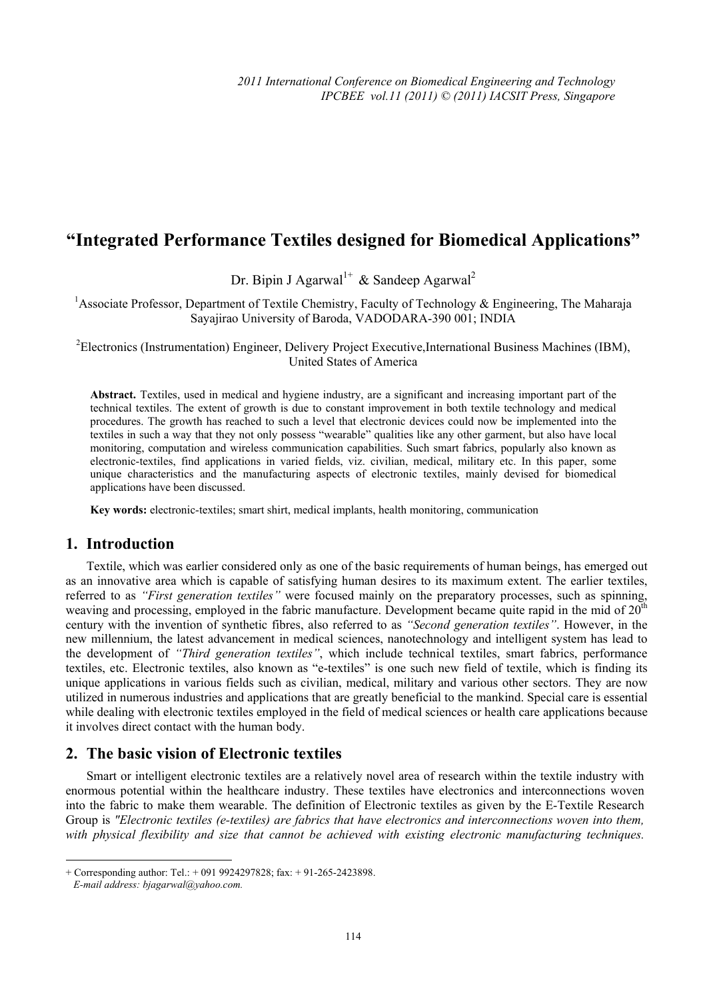# **"Integrated Performance Textiles designed for Biomedical Applications"**

Dr. Bipin J Agarwal<sup>1+</sup> & Sandeep Agarwal<sup>2</sup>

<sup>1</sup> Associate Professor, Department of Textile Chemistry, Faculty of Technology & Engineering, The Maharaja Sayajirao University of Baroda, VADODARA-390 001; INDIA

<sup>2</sup>Electronics (Instrumentation) Engineer, Delivery Project Executive,International Business Machines (IBM), United States of America

**Abstract.** Textiles, used in medical and hygiene industry, are a significant and increasing important part of the technical textiles. The extent of growth is due to constant improvement in both textile technology and medical procedures. The growth has reached to such a level that electronic devices could now be implemented into the textiles in such a way that they not only possess "wearable" qualities like any other garment, but also have local monitoring, computation and wireless communication capabilities. Such smart fabrics, popularly also known as electronic-textiles, find applications in varied fields, viz. civilian, medical, military etc. In this paper, some unique characteristics and the manufacturing aspects of electronic textiles, mainly devised for biomedical applications have been discussed.

**Key words:** electronic-textiles; smart shirt, medical implants, health monitoring, communication

# **1. Introduction**

Textile, which was earlier considered only as one of the basic requirements of human beings, has emerged out as an innovative area which is capable of satisfying human desires to its maximum extent. The earlier textiles, referred to as *"First generation textiles"* were focused mainly on the preparatory processes, such as spinning, weaving and processing, employed in the fabric manufacture. Development became quite rapid in the mid of 20<sup>th</sup> century with the invention of synthetic fibres, also referred to as *"Second generation textiles"*. However, in the new millennium, the latest advancement in medical sciences, nanotechnology and intelligent system has lead to the development of *"Third generation textiles"*, which include technical textiles, smart fabrics, performance textiles, etc. Electronic textiles, also known as "e-textiles" is one such new field of textile, which is finding its unique applications in various fields such as civilian, medical, military and various other sectors. They are now utilized in numerous industries and applications that are greatly beneficial to the mankind. Special care is essential while dealing with electronic textiles employed in the field of medical sciences or health care applications because it involves direct contact with the human body.

# **2. The basic vision of Electronic textiles**

Smart or intelligent electronic textiles are a relatively novel area of research within the textile industry with enormous potential within the healthcare industry. These textiles have electronics and interconnections woven into the fabric to make them wearable. The definition of Electronic textiles as given by the E-Textile Research Group is *"Electronic textiles (e-textiles) are fabrics that have electronics and interconnections woven into them, with physical flexibility and size that cannot be achieved with existing electronic manufacturing techniques.* 

 + Corresponding author: Tel.: + 091 9924297828; fax: + 91-265-2423898.

*E-mail address: bjagarwal@yahoo.com.*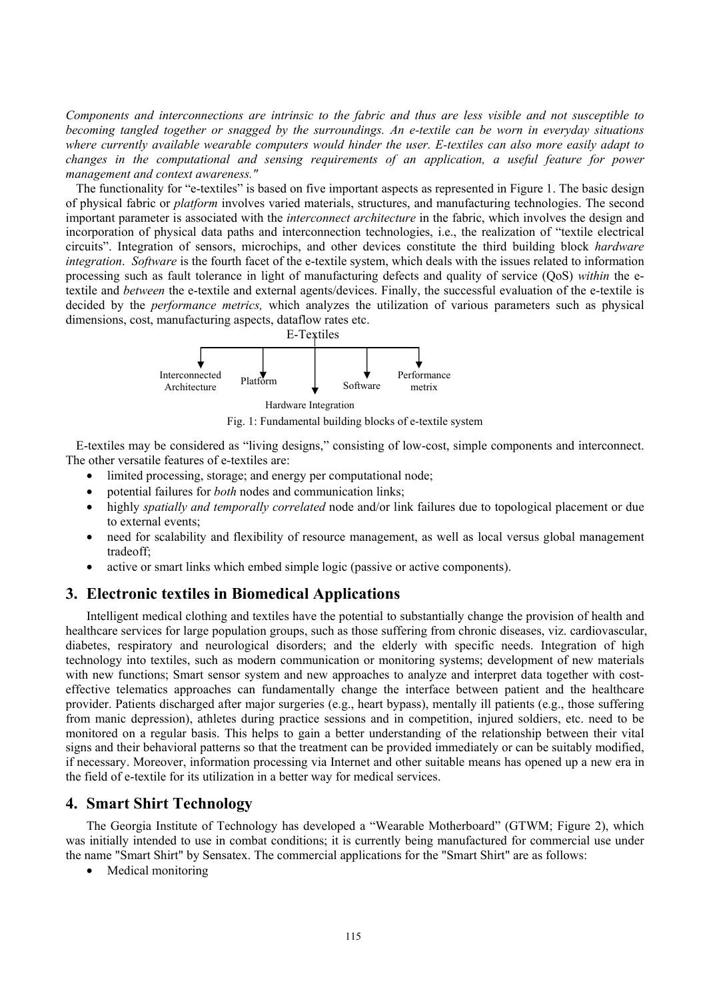*Components and interconnections are intrinsic to the fabric and thus are less visible and not susceptible to becoming tangled together or snagged by the surroundings. An e-textile can be worn in everyday situations where currently available wearable computers would hinder the user. E-textiles can also more easily adapt to changes in the computational and sensing requirements of an application, a useful feature for power management and context awareness."* 

The functionality for "e-textiles" is based on five important aspects as represented in Figure 1. The basic design of physical fabric or *platform* involves varied materials, structures, and manufacturing technologies. The second important parameter is associated with the *interconnect architecture* in the fabric, which involves the design and incorporation of physical data paths and interconnection technologies, i.e., the realization of "textile electrical circuits". Integration of sensors, microchips, and other devices constitute the third building block *hardware integration. Software* is the fourth facet of the e-textile system, which deals with the issues related to information processing such as fault tolerance in light of manufacturing defects and quality of service (QoS) *within* the etextile and *between* the e-textile and external agents/devices. Finally, the successful evaluation of the e-textile is decided by the *performance metrics,* which analyzes the utilization of various parameters such as physical dimensions, cost, manufacturing aspects, dataflow rates etc.



Fig. 1: Fundamental building blocks of e-textile system

E-textiles may be considered as "living designs," consisting of low-cost, simple components and interconnect. The other versatile features of e-textiles are:

- limited processing, storage; and energy per computational node;
- potential failures for *both* nodes and communication links;
- highly *spatially and temporally correlated* node and/or link failures due to topological placement or due to external events;
- need for scalability and flexibility of resource management, as well as local versus global management tradeoff;
- active or smart links which embed simple logic (passive or active components).

## **3. Electronic textiles in Biomedical Applications**

Intelligent medical clothing and textiles have the potential to substantially change the provision of health and healthcare services for large population groups, such as those suffering from chronic diseases, viz. cardiovascular, diabetes, respiratory and neurological disorders; and the elderly with specific needs. Integration of high technology into textiles, such as modern communication or monitoring systems; development of new materials with new functions; Smart sensor system and new approaches to analyze and interpret data together with costeffective telematics approaches can fundamentally change the interface between patient and the healthcare provider. Patients discharged after major surgeries (e.g., heart bypass), mentally ill patients (e.g., those suffering from manic depression), athletes during practice sessions and in competition, injured soldiers, etc. need to be monitored on a regular basis. This helps to gain a better understanding of the relationship between their vital signs and their behavioral patterns so that the treatment can be provided immediately or can be suitably modified, if necessary. Moreover, information processing via Internet and other suitable means has opened up a new era in the field of e-textile for its utilization in a better way for medical services.

## **4. Smart Shirt Technology**

The Georgia Institute of Technology has developed a "Wearable Motherboard" (GTWM; Figure 2), which was initially intended to use in combat conditions; it is currently being manufactured for commercial use under the name "Smart Shirt" by Sensatex. The commercial applications for the "Smart Shirt" are as follows:

• Medical monitoring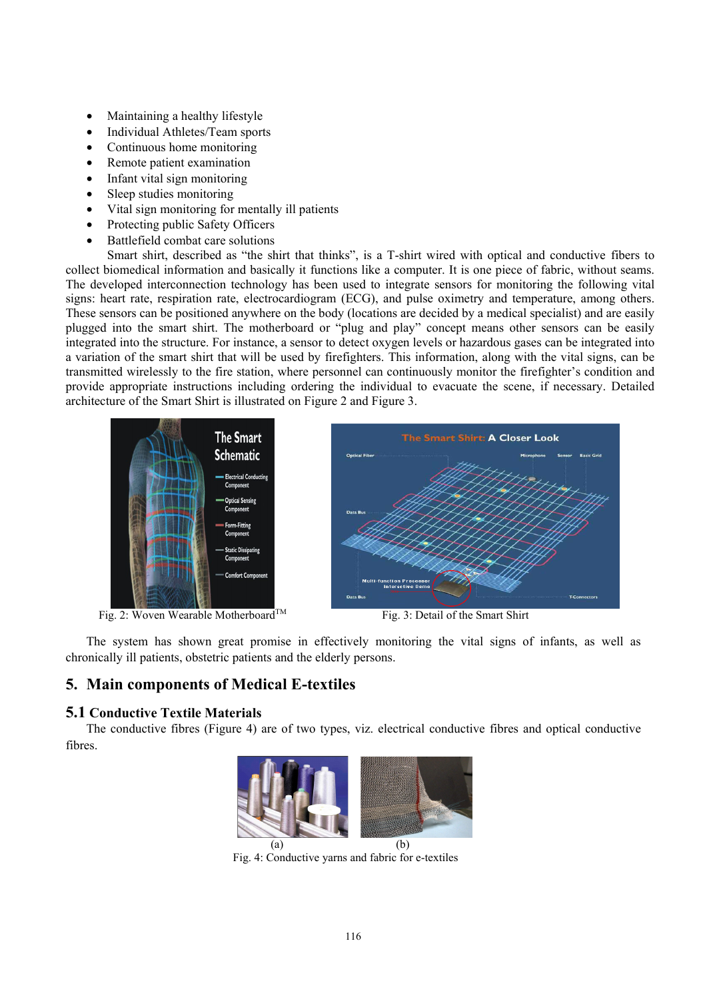- Maintaining a healthy lifestyle
- Individual Athletes/Team sports
- Continuous home monitoring
- Remote patient examination
- Infant vital sign monitoring
- Sleep studies monitoring
- Vital sign monitoring for mentally ill patients
- Protecting public Safety Officers
- Battlefield combat care solutions

Smart shirt, described as "the shirt that thinks", is a T-shirt wired with optical and conductive fibers to collect biomedical information and basically it functions like a computer. It is one piece of fabric, without seams. The developed interconnection technology has been used to integrate sensors for monitoring the following vital signs: heart rate, respiration rate, electrocardiogram (ECG), and pulse oximetry and temperature, among others. These sensors can be positioned anywhere on the body (locations are decided by a medical specialist) and are easily plugged into the smart shirt. The motherboard or "plug and play" concept means other sensors can be easily integrated into the structure. For instance, a sensor to detect oxygen levels or hazardous gases can be integrated into a variation of the smart shirt that will be used by firefighters. This information, along with the vital signs, can be transmitted wirelessly to the fire station, where personnel can continuously monitor the firefighter's condition and provide appropriate instructions including ordering the individual to evacuate the scene, if necessary. Detailed architecture of the Smart Shirt is illustrated on Figure 2 and Figure 3.



Fig. 2: Woven Wearable Motherboard™ Fig. 3: Detail of the Smart Shirt



The system has shown great promise in effectively monitoring the vital signs of infants, as well as chronically ill patients, obstetric patients and the elderly persons.

# **5. Main components of Medical E-textiles**

### **5.1 Conductive Textile Materials**

The conductive fibres (Figure 4) are of two types, viz. electrical conductive fibres and optical conductive fibres.



Fig. 4: Conductive yarns and fabric for e-textiles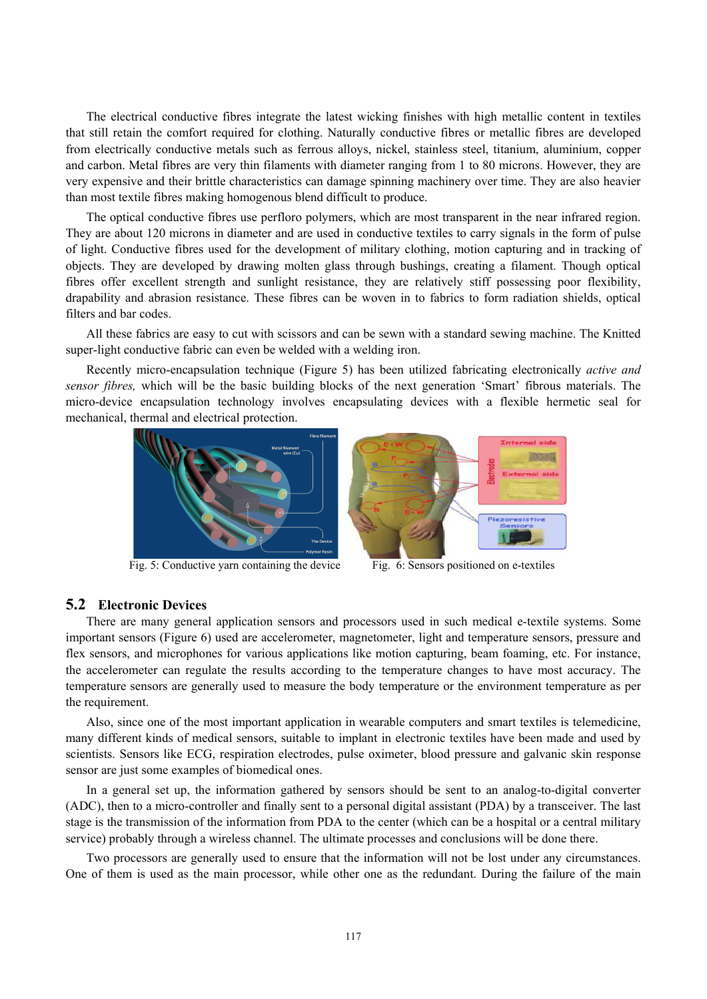The electrical conductive fibres integrate the latest wicking finishes with high metallic content in textiles that still retain the comfort required for clothing. Naturally conductive fibres or metallic fibres are developed from electrically conductive metals such as ferrous alloys, nickel, stainless steel, titanium, aluminium, copper and carbon. Metal fibres are very thin filaments with diameter ranging from 1 to 80 microns. However, they are very expensive and their brittle characteristics can damage spinning machinery over time. They are also heavier than most textile fibres making homogenous blend difficult to produce.

The optical conductive fibres use perfloro polymers, which are most transparent in the near infrared region. They are about 120 microns in diameter and are used in conductive textiles to carry signals in the form of pulse of light. Conductive fibres used for the development of military clothing, motion capturing and in tracking of objects. They are developed by drawing molten glass through bushings, creating a filament. Though optical fibres offer excellent strength and sunlight resistance, they are relatively stiff possessing poor flexibility, drapability and abrasion resistance. These fibres can be woven in to fabrics to form radiation shields, optical filters and bar codes.

All these fabrics are easy to cut with scissors and can be sewn with a standard sewing machine. The Knitted super-light conductive fabric can even be welded with a welding iron.

Recently micro-encapsulation technique (Figure 5) has been utilized fabricating electronically *active and sensor fibres,* which will be the basic building blocks of the next generation 'Smart' fibrous materials. The micro-device encapsulation technology involves encapsulating devices with a flexible hermetic seal for mechanical, thermal and electrical protection.



Fig. 5: Conductive yarn containing the device Fig. 6: Sensors positioned on e-textiles



#### **5.2 Electronic Devices**

There are many general application sensors and processors used in such medical e-textile systems. Some important sensors (Figure 6) used are accelerometer, magnetometer, light and temperature sensors, pressure and flex sensors, and microphones for various applications like motion capturing, beam foaming, etc. For instance, the accelerometer can regulate the results according to the temperature changes to have most accuracy. The temperature sensors are generally used to measure the body temperature or the environment temperature as per the requirement.

Also, since one of the most important application in wearable computers and smart textiles is telemedicine, many different kinds of medical sensors, suitable to implant in electronic textiles have been made and used by scientists. Sensors like ECG, respiration electrodes, pulse oximeter, blood pressure and galvanic skin response sensor are just some examples of biomedical ones.

In a general set up, the information gathered by sensors should be sent to an analog-to-digital converter (ADC), then to a micro-controller and finally sent to a personal digital assistant (PDA) by a transceiver. The last stage is the transmission of the information from PDA to the center (which can be a hospital or a central military service) probably through a wireless channel. The ultimate processes and conclusions will be done there.

Two processors are generally used to ensure that the information will not be lost under any circumstances. One of them is used as the main processor, while other one as the redundant. During the failure of the main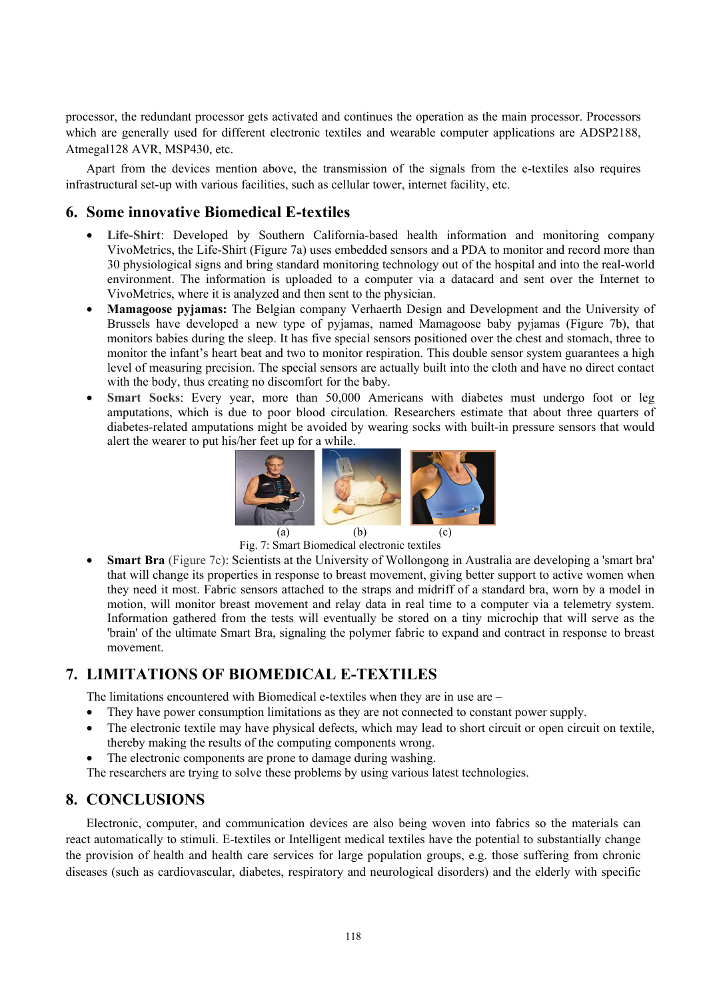processor, the redundant processor gets activated and continues the operation as the main processor. Processors which are generally used for different electronic textiles and wearable computer applications are ADSP2188, Atmegal128 AVR, MSP430, etc.

Apart from the devices mention above, the transmission of the signals from the e-textiles also requires infrastructural set-up with various facilities, such as cellular tower, internet facility, etc.

## **6. Some innovative Biomedical E-textiles**

- **Life-Shirt**: Developed by Southern California-based health information and monitoring company VivoMetrics, the Life-Shirt (Figure 7a) uses embedded sensors and a PDA to monitor and record more than 30 physiological signs and bring standard monitoring technology out of the hospital and into the real-world environment. The information is uploaded to a computer via a datacard and sent over the Internet to VivoMetrics, where it is analyzed and then sent to the physician.
- **Mamagoose pyjamas:** The Belgian company Verhaerth Design and Development and the University of Brussels have developed a new type of pyjamas, named Mamagoose baby pyjamas (Figure 7b), that monitors babies during the sleep. It has five special sensors positioned over the chest and stomach, three to monitor the infant's heart beat and two to monitor respiration. This double sensor system guarantees a high level of measuring precision. The special sensors are actually built into the cloth and have no direct contact with the body, thus creating no discomfort for the baby.
- **Smart Socks**: Every year, more than 50,000 Americans with diabetes must undergo foot or leg amputations, which is due to poor blood circulation. Researchers estimate that about three quarters of diabetes-related amputations might be avoided by wearing socks with built-in pressure sensors that would alert the wearer to put his/her feet up for a while.



Fig. 7: Smart Biomedical electronic textiles

• **Smart Bra** (Figure 7c): Scientists at the University of Wollongong in Australia are developing a 'smart bra' that will change its properties in response to breast movement, giving better support to active women when they need it most. Fabric sensors attached to the straps and midriff of a standard bra, worn by a model in motion, will monitor breast movement and relay data in real time to a computer via a telemetry system. Information gathered from the tests will eventually be stored on a tiny microchip that will serve as the 'brain' of the ultimate Smart Bra, signaling the polymer fabric to expand and contract in response to breast movement.

# **7. LIMITATIONS OF BIOMEDICAL E-TEXTILES**

The limitations encountered with Biomedical e-textiles when they are in use are –

- They have power consumption limitations as they are not connected to constant power supply.
- The electronic textile may have physical defects, which may lead to short circuit or open circuit on textile, thereby making the results of the computing components wrong.
- The electronic components are prone to damage during washing.

The researchers are trying to solve these problems by using various latest technologies.

# **8. CONCLUSIONS**

Electronic, computer, and communication devices are also being woven into fabrics so the materials can react automatically to stimuli. E-textiles or Intelligent medical textiles have the potential to substantially change the provision of health and health care services for large population groups, e.g. those suffering from chronic diseases (such as cardiovascular, diabetes, respiratory and neurological disorders) and the elderly with specific